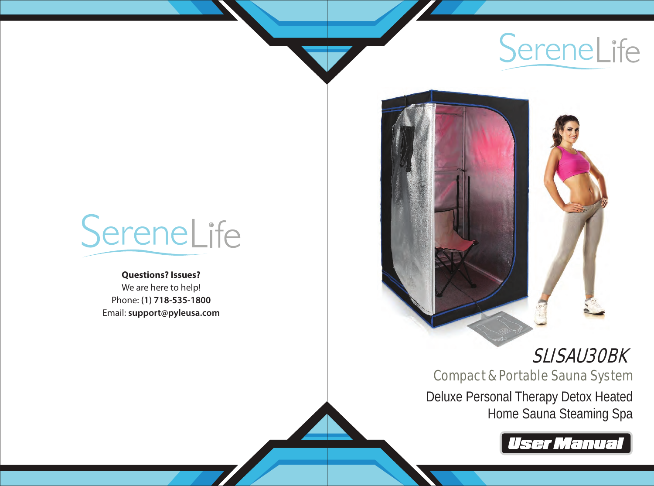



# **Questions? Issues?** We are here to help!

Phone: **(1) 718-535-1800** Email: **support@pyleusa.com**

# SLISAU30BK

Compact & Portable Sauna System Deluxe Personal Therapy Detox Heated Home Sauna Steaming Spa

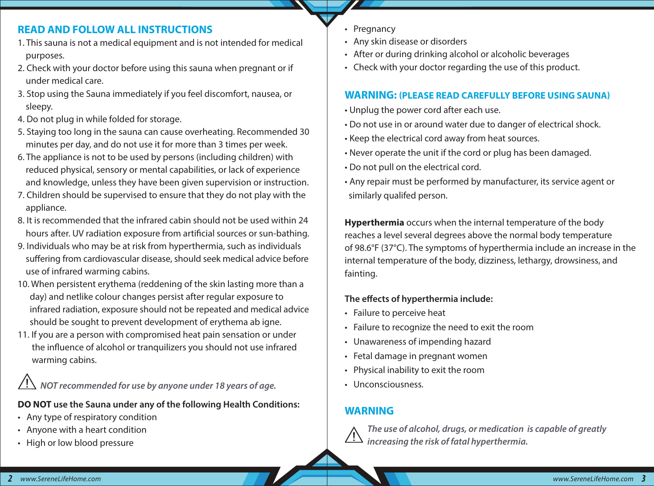# **READ AND FOLLOW ALL INSTRUCTIONS**

- 1. This sauna is not a medical equipment and is not intended for medical purposes.
- 2. Check with your doctor before using this sauna when pregnant or if under medical care.
- 3. Stop using the Sauna immediately if you feel discomfort, nausea, or sleepy.
- 4. Do not plug in while folded for storage.
- 5. Staying too long in the sauna can cause overheating. Recommended 30 minutes per day, and do not use it for more than 3 times per week.
- 6. The appliance is not to be used by persons (including children) with reduced physical, sensory or mental capabilities, or lack of experience and knowledge, unless they have been given supervision or instruction.
- 7. Children should be supervised to ensure that they do not play with the appliance.
- 8. It is recommended that the infrared cabin should not be used within 24 hours after. UV radiation exposure from artificial sources or sun-bathing.
- 9. Individuals who may be at risk from hyperthermia, such as individuals suffering from cardiovascular disease, should seek medical advice before use of infrared warming cabins.
- 10. When persistent erythema (reddening of the skin lasting more than a day) and netlike colour changes persist after regular exposure to infrared radiation, exposure should not be repeated and medical advice should be sought to prevent development of erythema ab igne.
- 11. If you are a person with compromised heat pain sensation or under the influence of alcohol or tranquilizers you should not use infrared warming cabins.

 $\overline{\Delta}$  NOT recommended for use by anyone under 18 years of age.

**DO NOT use the Sauna under any of the following Health Conditions:**

- Any type of respiratory condition
- Anyone with a heart condition
- High or low blood pressure
- **Pregnancy**
- Any skin disease or disorders
- After or during drinking alcohol or alcoholic beverages
- Check with your doctor regarding the use of this product.

# **WARNING: (PLEASE READ CAREFULLY BEFORE USING SAUNA)**

- Unplug the power cord after each use.
- Do not use in or around water due to danger of electrical shock.
- Keep the electrical cord away from heat sources.
- Never operate the unit if the cord or plug has been damaged.
- Do not pull on the electrical cord.
- Any repair must be performed by manufacturer, its service agent or similarly qualifed person.

**Hyperthermia** occurs when the internal temperature of the body reaches a level several degrees above the normal body temperature of 98.6°F (37°C). The symptoms of hyperthermia include an increase in the internal temperature of the body, dizziness, lethargy, drowsiness, and fainting.

# The effects of hyperthermia include:

- Failure to perceive heat
- Failure to recognize the need to exit the room
- Unawareness of impending hazard
- Fetal damage in pregnant women
- Physical inability to exit the room
- Unconsciousness.

# **WARNING**



 *The use of alcohol, drugs, or medication is capable of greatly increasing the risk of fatal hyperthermia.*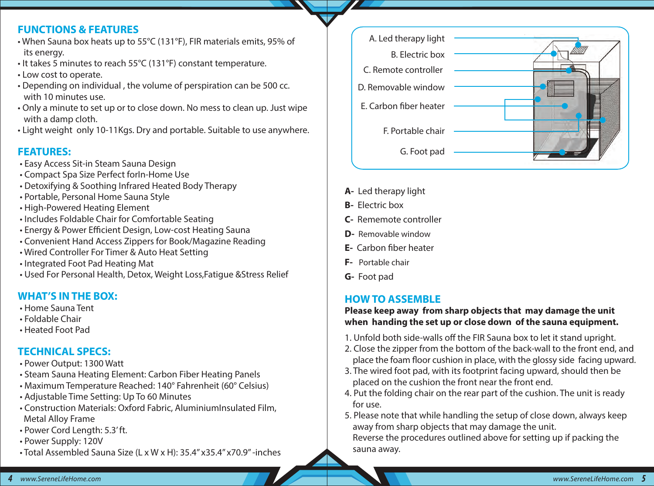#### **FUNCTIONS & FEATURES**

- When Sauna box heats up to 55°C (131°F), FIR materials emits, 95% of its energy.
- It takes 5 minutes to reach 55°C (131°F) constant temperature.
- Low cost to operate.
- Depending on individual , the volume of perspiration can be 500 cc. with 10 minutes use.
- Only a minute to set up or to close down. No mess to clean up. Just wipe with a damp cloth.
- Light weight only 10-11Kgs. Dry and portable. Suitable to use anywhere.

# **FEATURES:**

- Easy Access Sit-in Steam Sauna Design
- Compact Spa Size Perfect forIn-Home Use
- Detoxifying & Soothing Infrared Heated Body Therapy
- Portable, Personal Home Sauna Style
- High-Powered Heating Element
- Includes Foldable Chair for Comfortable Seating
- Energy & Power Efficient Design, Low-cost Heating Sauna
- Convenient Hand Access Zippers for Book/Magazine Reading
- Wired Controller For Timer & Auto Heat Setting
- Integrated Foot Pad Heating Mat
- Used For Personal Health, Detox, Weight Loss,Fatigue &Stress Relief

# **WHAT'S IN THE BOX:**

- Home Sauna Tent
- Foldable Chair
- Heated Foot Pad

# **TECHNICAL SPECS:**

- Power Output: 1300 Watt
- Steam Sauna Heating Element: Carbon Fiber Heating Panels
- Maximum Temperature Reached: 140° Fahrenheit (60° Celsius)
- Adjustable Time Setting: Up To 60 Minutes
- Construction Materials: Oxford Fabric, AluminiumInsulated Film, Metal Alloy Frame
- Power Cord Length: 5.3' ft.
- Power Supply: 120V
- Total Assembled Sauna Size (L x W x H): 35.4'' x35.4'' x70.9'' -inches



- **A-** Led therapy light
- **B-** Electric box
- **C-** Rememote controller
- **D-** Removable window
- **E-** Carbon fiber heater
- **F-** Portable chair
- **G-** Foot pad

# **HOW TO ASSEMBLE**

#### **Please keep away from sharp objects that may damage the unit when handing the set up or close down of the sauna equipment.**

- 1. Unfold both side-walls off the FIR Sauna box to let it stand upright.
- 2. Close the zipper from the bottom of the back-wall to the front end, and place the foam floor cushion in place, with the glossy side facing upward.
- 3. The wired foot pad, with its footprint facing upward, should then be placed on the cushion the front near the front end.
- 4. Put the folding chair on the rear part of the cushion. The unit is ready for use.
- 5. Please note that while handling the setup of close down, always keep away from sharp objects that may damage the unit. Reverse the procedures outlined above for setting up if packing the

sauna away.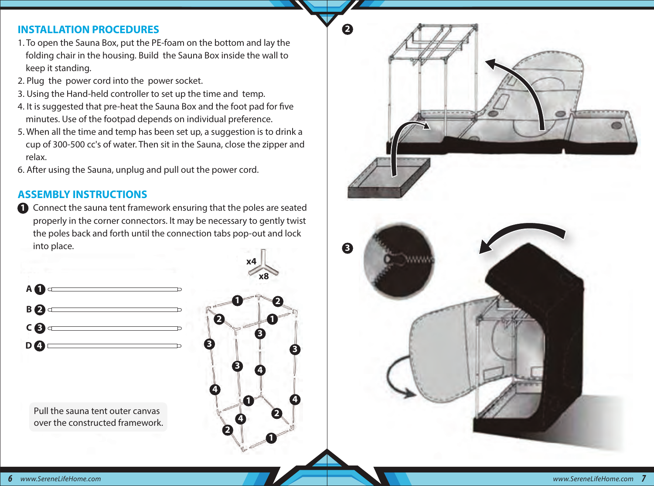#### **INSTALLATION PROCEDURES**

- 1. To open the Sauna Box, put the PE-foam on the bottom and lay the folding chair in the housing. Build the Sauna Box inside the wall to keep it standing.
- 2. Plug the power cord into the power socket.
- 3. Using the Hand-held controller to set up the time and temp.
- 4. It is suggested that pre-heat the Sauna Box and the foot pad for five minutes. Use of the footpad depends on individual preference.
- 5. When all the time and temp has been set up, a suggestion is to drink a cup of 300-500 cc's of water. Then sit in the Sauna, close the zipper and relax.
- 6. After using the Sauna, unplug and pull out the power cord.

### **ASSEMBLY INSTRUCTIONS**

**1** Connect the sauna tent framework ensuring that the poles are seated properly in the corner connectors. lt may be necessary to gently twist the poles back and forth until the connection tabs pop-out and lock into place.



 Pull the sauna tent outer canvas over the constructed framework.



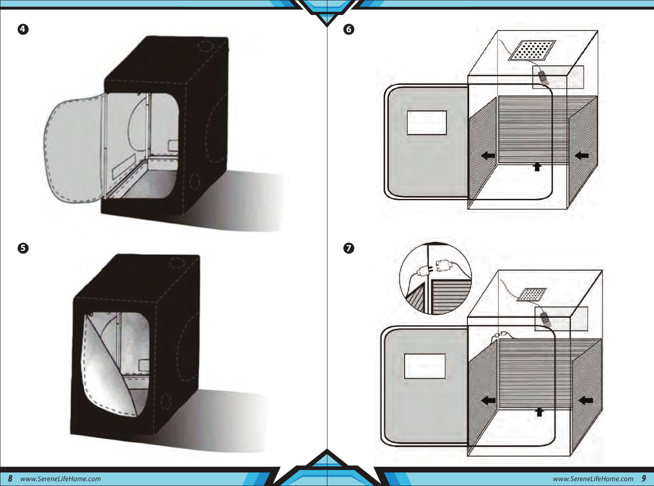